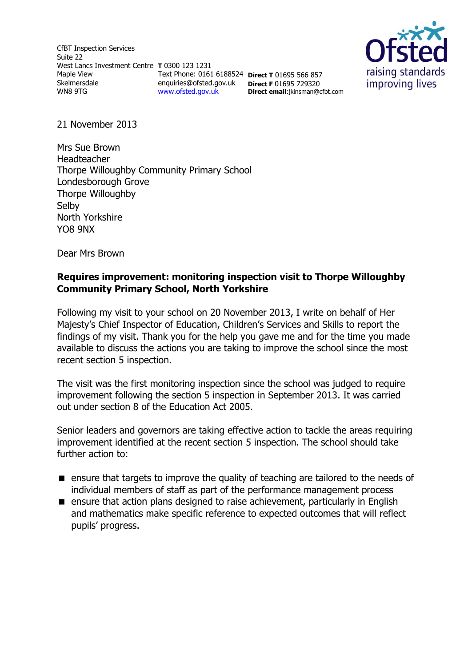CfBT Inspection Services Suite 22 West Lancs Investment Centre **T** 0300 123 1231 Maple View Skelmersdale WN8 9TG Text Phone: 0161 6188524 **Direct T** 01695 566 857 enquiries@ofsted.gov.uk **Direct F** 01695 729320 [www.ofsted.gov.uk](http://www.ofsted.gov.uk/)



21 November 2013

Mrs Sue Brown Headteacher Thorpe Willoughby Community Primary School Londesborough Grove Thorpe Willoughby **Selby** North Yorkshire YO8 9NX

Dear Mrs Brown

### **Requires improvement: monitoring inspection visit to Thorpe Willoughby Community Primary School, North Yorkshire**

**Direct email**:jkinsman@cfbt.com

Following my visit to your school on 20 November 2013, I write on behalf of Her Majesty's Chief Inspector of Education, Children's Services and Skills to report the findings of my visit. Thank you for the help you gave me and for the time you made available to discuss the actions you are taking to improve the school since the most recent section 5 inspection.

The visit was the first monitoring inspection since the school was judged to require improvement following the section 5 inspection in September 2013. It was carried out under section 8 of the Education Act 2005.

Senior leaders and governors are taking effective action to tackle the areas requiring improvement identified at the recent section 5 inspection. The school should take further action to:

- **E** ensure that targets to improve the quality of teaching are tailored to the needs of individual members of staff as part of the performance management process
- ensure that action plans designed to raise achievement, particularly in English and mathematics make specific reference to expected outcomes that will reflect pupils' progress.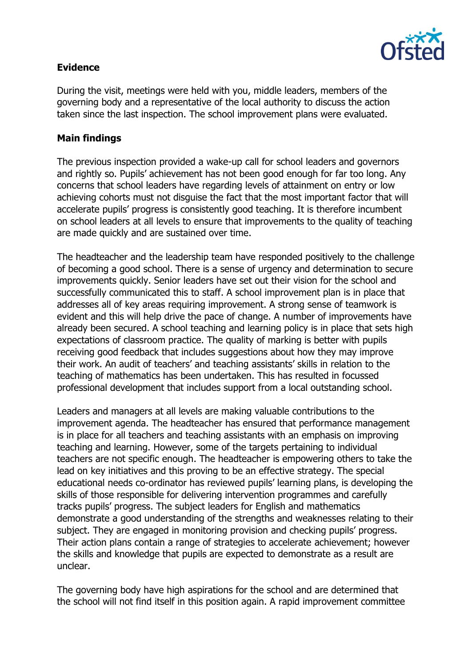

## **Evidence**

During the visit, meetings were held with you, middle leaders, members of the governing body and a representative of the local authority to discuss the action taken since the last inspection. The school improvement plans were evaluated.

## **Main findings**

The previous inspection provided a wake-up call for school leaders and governors and rightly so. Pupils' achievement has not been good enough for far too long. Any concerns that school leaders have regarding levels of attainment on entry or low achieving cohorts must not disguise the fact that the most important factor that will accelerate pupils' progress is consistently good teaching. It is therefore incumbent on school leaders at all levels to ensure that improvements to the quality of teaching are made quickly and are sustained over time.

The headteacher and the leadership team have responded positively to the challenge of becoming a good school. There is a sense of urgency and determination to secure improvements quickly. Senior leaders have set out their vision for the school and successfully communicated this to staff. A school improvement plan is in place that addresses all of key areas requiring improvement. A strong sense of teamwork is evident and this will help drive the pace of change. A number of improvements have already been secured. A school teaching and learning policy is in place that sets high expectations of classroom practice. The quality of marking is better with pupils receiving good feedback that includes suggestions about how they may improve their work. An audit of teachers' and teaching assistants' skills in relation to the teaching of mathematics has been undertaken. This has resulted in focussed professional development that includes support from a local outstanding school.

Leaders and managers at all levels are making valuable contributions to the improvement agenda. The headteacher has ensured that performance management is in place for all teachers and teaching assistants with an emphasis on improving teaching and learning. However, some of the targets pertaining to individual teachers are not specific enough. The headteacher is empowering others to take the lead on key initiatives and this proving to be an effective strategy. The special educational needs co-ordinator has reviewed pupils' learning plans, is developing the skills of those responsible for delivering intervention programmes and carefully tracks pupils' progress. The subject leaders for English and mathematics demonstrate a good understanding of the strengths and weaknesses relating to their subject. They are engaged in monitoring provision and checking pupils' progress. Their action plans contain a range of strategies to accelerate achievement; however the skills and knowledge that pupils are expected to demonstrate as a result are unclear.

The governing body have high aspirations for the school and are determined that the school will not find itself in this position again. A rapid improvement committee